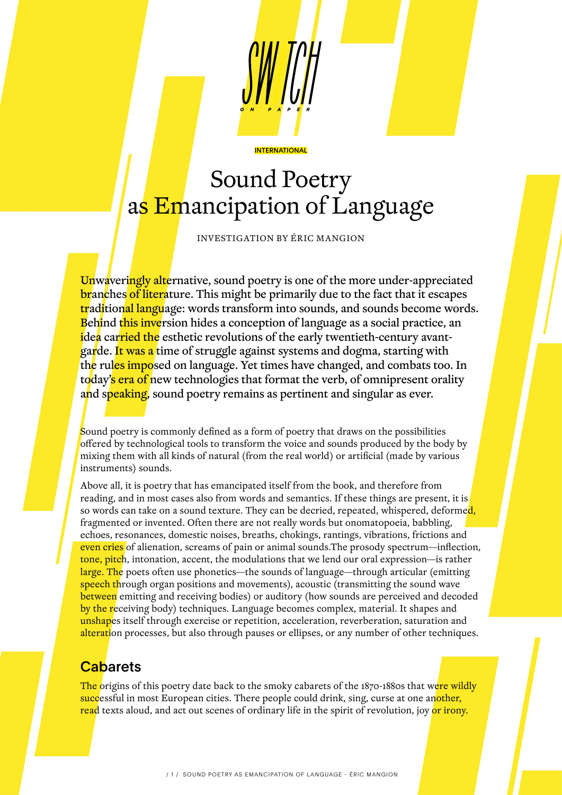

# Sound Poetry as Emancipation of Language

**INTERNATIONAL** 

INVESTIGATION BY ÉRIC MANGION

Unwaveringly alternative, sound poetry is one of the more under-appreciated branches of literature. This might be primarily due to the fact that it escapes traditional language: words transform into sounds, and sounds become words. Behind this inversion hides a conception of language as a social practice, an idea carried the esthetic revolutions of the early twentieth-century avantgarde. It was a time of struggle against systems and dogma, starting with the rules imposed on language. Yet times have changed, and combats too. In today's era of new technologies that format the verb, of omnipresent orality and speaking, sound poetry remains as pertinent and singular as ever.

Sound poetry is commonly defined as a form of poetry that draws on the possibilities offered by technological tools to transform the voice and sounds produced by the body by mixing them with all kinds of natural (from the real world) or artificial (made by various instruments) sounds.

Above all, it is poetry that has emancipated itself from the book, and therefore from reading, and in most cases also from words and semantics. If these things are present, it is so words can take on a sound texture. They can be decried, repeated, whispered, deformed, fragmented or invented. Often there are not really words but onomatopoeia, babbling, echoes, resonances, domestic noises, breaths, chokings, rantings, vibrations, frictions and even cries of alienation, screams of pain or animal sounds. The prosody spectrum—inflection, tone, pitch, intonation, accent, the modulations that we lend our oral expression—is rather large. The poets often use phonetics—the sounds of language—through articular (emitting speech through organ positions and movements), acoustic (transmitting the sound wave between emitting and receiving bodies) or auditory (how sounds are perceived and decoded by the receiving body) techniques. Language becomes complex, material. It shapes and unshapes itself through exercise or repetition, acceleration, reverberation, saturation and alteration processes, but also through pauses or ellipses, or any number of other techniques.

# **Cabarets**

The origins of this poetry date back to the smoky cabarets of the 1870-1880s that were wildly successful in most European cities. There people could drink, sing, curse at one another, read texts aloud, and act out scenes of ordinary life in the spirit of revolution, joy or irony.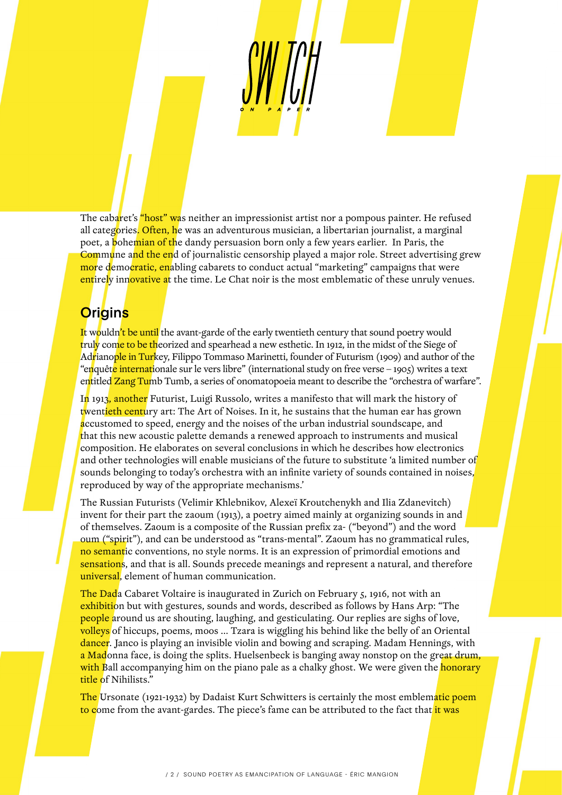The cabaret's "host" was neither an impressionist artist nor a pompous painter. He refused all categories. Often, he was an adventurous musician, a libertarian journalist, a marginal poet, a **b**ohemian of the dandy persuasion born only a few years earlier. In Paris, the Commune and the end of journalistic censorship played a major role. Street advertising grew more democratic, enabling cabarets to conduct actual "marketing" campaigns that were entirely innovative at the time. Le Chat noir is the most emblematic of these unruly venues.

# **Origins**

It wouldn't be until the avant-garde of the early twentieth century that sound poetry would truly come to be theorized and spearhead a new esthetic. In 1912, in the midst of the Siege of Adrianople in Turkey, Filippo Tommaso Marinetti, founder of Futurism (1909) and author of the "enquête internationale sur le vers libre" (international study on free verse – 1905) writes a text entitled Zang Tumb Tumb, a series of onomatopoeia meant to describe the "orchestra of warfare".

In 1913, another Futurist, Luigi Russolo, writes a manifesto that will mark the history of twentieth century art: The Art of Noises. In it, he sustains that the human ear has grown accustomed to speed, energy and the noises of the urban industrial soundscape, and that this new acoustic palette demands a renewed approach to instruments and musical composition. He elaborates on several conclusions in which he describes how electronics and other technologies will enable musicians of the future to substitute 'a limited number of sounds belonging to today's orchestra with an infinite variety of sounds contained in noises, reproduced by way of the appropriate mechanisms.'

The Russian Futurists (Velimir Khlebnikov, Alexeï Kroutchenykh and Ilia Zdanevitch) invent for their part the zaoum (1913), a poetry aimed mainly at organizing sounds in and of themselves. Zaoum is a composite of the Russian prefix za- ("beyond") and the word oum ("spirit"), and can be understood as "trans-mental". Zaoum has no grammatical rules, no semantic conventions, no style norms. It is an expression of primordial emotions and sensations, and that is all. Sounds precede meanings and represent a natural, and therefore universal, element of human communication.

The Dada Cabaret Voltaire is inaugurated in Zurich on February 5, 1916, not with an exhibition but with gestures, sounds and words, described as follows by Hans Arp: "The people around us are shouting, laughing, and gesticulating. Our replies are sighs of love, volleys of hiccups, poems, moos ... Tzara is wiggling his behind like the belly of an Oriental dancer. Janco is playing an invisible violin and bowing and scraping. Madam Hennings, with a Madonna face, is doing the splits. Huelsenbeck is banging away nonstop on the great drum, with Ball accompanying him on the piano pale as a chalky ghost. We were given the honorary title of Nihilists."

The Ursonate (1921-1932) by Dadaist Kurt Schwitters is certainly the most emblematic poem to come from the avant-gardes. The piece's fame can be attributed to the fact that it was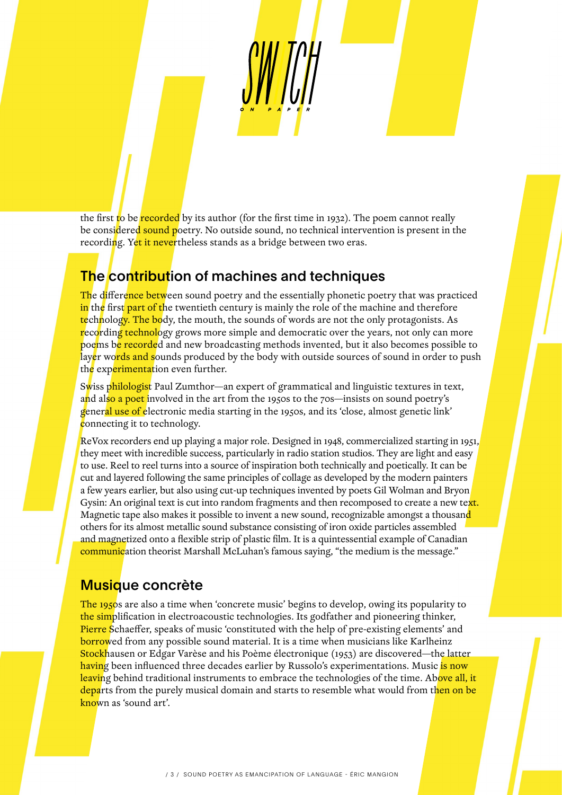the first to be recorded by its author (for the first time in 1932). The poem cannot really be considered sound poetry. No outside sound, no technical intervention is present in the recording. Yet it nevertheless stands as a bridge between two eras.

# The contribution of machines and techniques

The difference between sound poetry and the essentially phonetic poetry that was practiced in the first part of the twentieth century is mainly the role of the machine and therefore technology. The body, the mouth, the sounds of words are not the only protagonists. As recording technology grows more simple and democratic over the years, not only can more poems be recorded and new broadcasting methods invented, but it also becomes possible to layer words and sounds produced by the body with outside sources of sound in order to push the experimentation even further.

Swiss philologist Paul Zumthor—an expert of grammatical and linguistic textures in text, and also a poet involved in the art from the 1950s to the 70s—insists on sound poetry's general use of electronic media starting in the 1950s, and its 'close, almost genetic link' connecting it to technology.

ReVox recorders end up playing a major role. Designed in 1948, commercialized starting in 1951, they meet with incredible success, particularly in radio station studios. They are light and easy to use. Reel to reel turns into a source of inspiration both technically and poetically. It can be cut and layered following the same principles of collage as developed by the modern painters a few years earlier, but also using cut-up techniques invented by poets Gil Wolman and Bryon Gysin: An original text is cut into random fragments and then recomposed to create a new text. Magnetic tape also makes it possible to invent a new sound, recognizable amongst a thousand others for its almost metallic sound substance consisting of iron oxide particles assembled and magnetized onto a flexible strip of plastic film. It is a quintessential example of Canadian communication theorist Marshall McLuhan's famous saying, "the medium is the message."

#### Musique concrète

The 1950s are also a time when 'concrete music' begins to develop, owing its popularity to the simplification in electroacoustic technologies. Its godfather and pioneering thinker, Pierre Schaeffer, speaks of music 'constituted with the help of pre-existing elements' and borrowed from any possible sound material. It is a time when musicians like Karlheinz Stockhausen or Edgar Varèse and his Poème électronique (1953) are discovered—the latter having been influenced three decades earlier by Russolo's experimentations. Music <mark>is now</mark> leaving behind traditional instruments to embrace the technologies of the time. Above all, it departs from the purely musical domain and starts to resemble what would from then on be known as 'sound art'.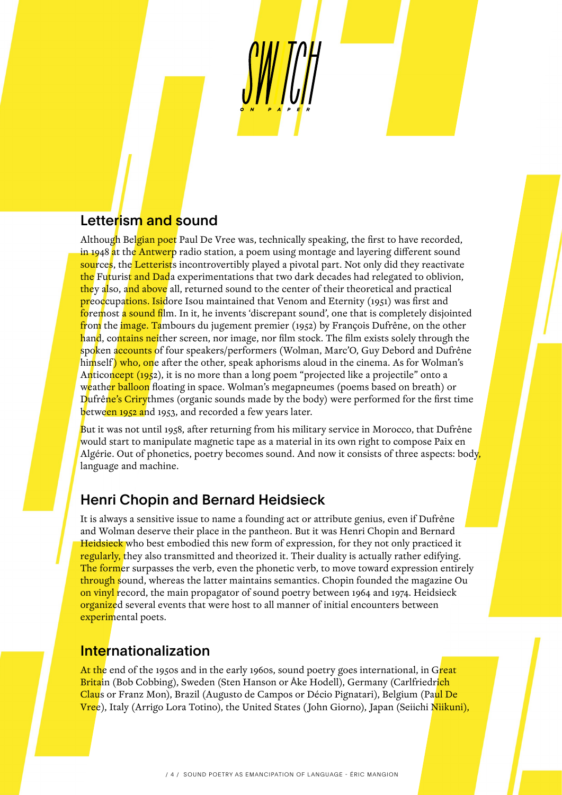# Letterism and sound

Although Belgian poet Paul De Vree was, technically speaking, the first to have recorded, in 1948 at the Antwerp radio station, a poem using montage and layering different sound sources, the Letterists incontrovertibly played a pivotal part. Not only did they reactivate the Futurist and Dada experimentations that two dark decades had relegated to oblivion, they also, and above all, returned sound to the center of their theoretical and practical preoccupations. Isidore Isou maintained that Venom and Eternity (1951) was first and foremost a sound film. In it, he invents 'discrepant sound', one that is completely disjointed from the image. Tambours du jugement premier (1952) by François Dufrêne, on the other hand, contains neither screen, nor image, nor film stock. The film exists solely through the spoken accounts of four speakers/performers (Wolman, Marc'O, Guy Debord and Dufrêne himself) who, one after the other, speak aphorisms aloud in the cinema. As for Wolman's Anticoncept (1952), it is no more than a long poem "projected like a projectile" onto a weather balloon floating in space. Wolman's megapneumes (poems based on breath) or Dufrêne's Crirythmes (organic sounds made by the body) were performed for the first time between 1952 and 1953, and recorded a few years later.

But it was not until 1958, after returning from his military service in Morocco, that Dufrêne would start to manipulate magnetic tape as a material in its own right to compose Paix en Algérie. Out of phonetics, poetry becomes sound. And now it consists of three aspects: body, language and machine.

# Henri Chopin and Bernard Heidsieck

It is always a sensitive issue to name a founding act or attribute genius, even if Dufrêne and Wolman deserve their place in the pantheon. But it was Henri Chopin and Bernard Heidsieck who best embodied this new form of expression, for they not only practiced it regularly, they also transmitted and theorized it. Their duality is actually rather edifying. The former surpasses the verb, even the phonetic verb, to move toward expression entirely through sound, whereas the latter maintains semantics. Chopin founded the magazine Ou on vinyl record, the main propagator of sound poetry between 1964 and 1974. Heidsieck organized several events that were host to all manner of initial encounters between experimental poets.

#### **Internationalization**

At the end of the 1950s and in the early 1960s, sound poetry goes international, in Great Britain (Bob Cobbing), Sweden (Sten Hanson or Åke Hodell), Germany (Carlfriedr<mark>ich</mark> Claus or Franz Mon), Brazil (Augusto de Campos or Décio Pignatari), Belgium (Paul De Vree), Italy (Arrigo Lora Totino), the United States (John Giorno), Japan (Seiichi Niikuni),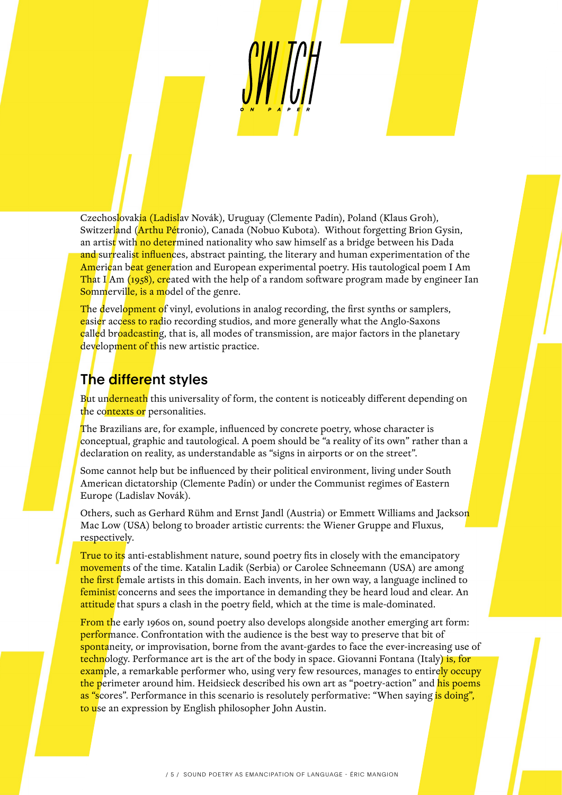Czechoslovakia (Ladislav Novák), Uruguay (Clemente Padín), Poland (Klaus Groh), Switzerland (Arthu Pétronio), Canada (Nobuo Kubota). Without forgetting Brion Gysin, an artist with no determined nationality who saw himself as a bridge between his Dada and surrealist influences, abstract painting, the literary and human experimentation of the American beat generation and European experimental poetry. His tautological poem I Am That I Am (1958), created with the help of a random software program made by engineer Ian Sommerville, is a model of the genre.

The development of vinyl, evolutions in analog recording, the first synths or samplers, easier access to radio recording studios, and more generally what the Anglo-Saxons called broadcasting, that is, all modes of transmission, are major factors in the planetary development of this new artistic practice.

# The different styles

But underneath this universality of form, the content is noticeably different depending on the contexts or personalities.

The Brazilians are, for example, influenced by concrete poetry, whose character is conceptual, graphic and tautological. A poem should be "a reality of its own" rather than a declaration on reality, as understandable as "signs in airports or on the street".

Some cannot help but be influenced by their political environment, living under South American dictatorship (Clemente Padín) or under the Communist regimes of Eastern Europe (Ladislav Novák).

Others, such as Gerhard Rühm and Ernst Jandl (Austria) or Emmett Williams and Jackson Mac Low (USA) belong to broader artistic currents: the Wiener Gruppe and Fluxus, respectively.

True to its anti-establishment nature, sound poetry fits in closely with the emancipatory movements of the time. Katalin Ladik (Serbia) or Carolee Schneemann (USA) are among the first female artists in this domain. Each invents, in her own way, a language inclined to feminist concerns and sees the importance in demanding they be heard loud and clear. An attitude that spurs a clash in the poetry field, which at the time is male-dominated.

From the early 1960s on, sound poetry also develops alongside another emerging art form: performance. Confrontation with the audience is the best way to preserve that bit of spontaneity, or improvisation, borne from the avant-gardes to face the ever-increasing use of technology. Performance art is the art of the body in space. Giovanni Fontana (Italy) is, for example, a remarkable performer who, using very few resources, manages to entirely occupy the perimeter around him. Heidsieck described his own art as "poetry-action" and his poems as "scores". Performance in this scenario is resolutely performative: "When saying is doing", to use an expression by English philosopher John Austin.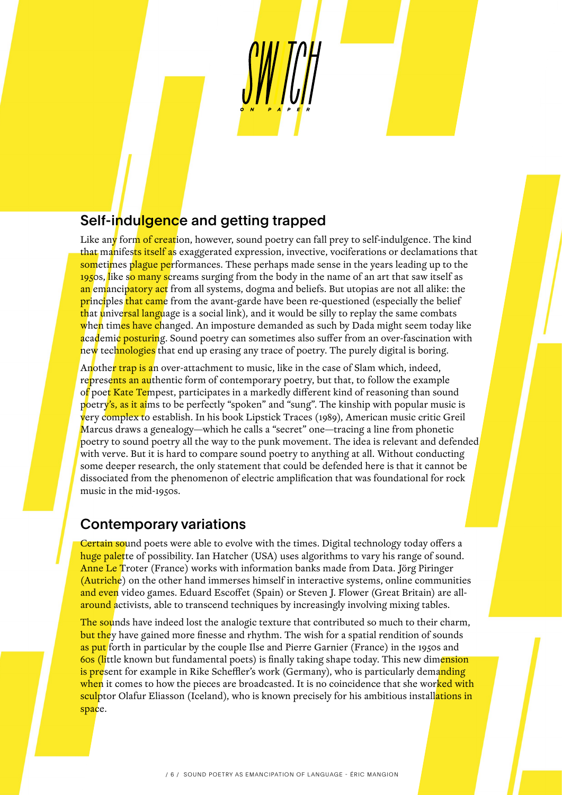# Self-indulgence and getting trapped

Like any form of creation, however, sound poetry can fall prey to self-indulgence. The kind that manifests itself as exaggerated expression, invective, vociferations or declamations that sometimes plague performances. These perhaps made sense in the years leading up to the 1950s, like so many screams surging from the body in the name of an art that saw itself as an emancipatory act from all systems, dogma and beliefs. But utopias are not all alike: the **principles that came** from the avant-garde have been re-questioned (especially the belief that universal language is a social link), and it would be silly to replay the same combats when times have changed. An imposture demanded as such by Dada might seem today like academic posturing. Sound poetry can sometimes also suffer from an over-fascination with new technologies that end up erasing any trace of poetry. The purely digital is boring.

Another trap is an over-attachment to music, like in the case of Slam which, indeed, represents an authentic form of contemporary poetry, but that, to follow the example of poet Kate Tempest, participates in a markedly different kind of reasoning than sound poetry's, as it aims to be perfectly "spoken" and "sung". The kinship with popular music is very complex to establish. In his book Lipstick Traces (1989), American music critic Greil Marcus draws a genealogy—which he calls a "secret" one—tracing a line from phonetic poetry to sound poetry all the way to the punk movement. The idea is relevant and defended with verve. But it is hard to compare sound poetry to anything at all. Without conducting some deeper research, the only statement that could be defended here is that it cannot be dissociated from the phenomenon of electric amplification that was foundational for rock music in the mid-1950s.

#### Contemporary variations

Certain sound poets were able to evolve with the times. Digital technology today offers a huge palette of possibility. Ian Hatcher (USA) uses algorithms to vary his range of sound. Anne Le Troter (France) works with information banks made from Data. Jörg Piringer (Autriche) on the other hand immerses himself in interactive systems, online communities and even video games. Eduard Escoffet (Spain) or Steven J. Flower (Great Britain) are allaround activists, able to transcend techniques by increasingly involving mixing tables.

The sounds have indeed lost the analogic texture that contributed so much to their charm, but they have gained more finesse and rhythm. The wish for a spatial rendition of sounds as put forth in particular by the couple Ilse and Pierre Garnier (France) in the 1950s and 60s (little known but fundamental poets) is finally taking shape today. This new dimension is present for example in Rike Scheffler's work (Germany), who is particularly demanding when it comes to how the pieces are broadcasted. It is no coincidence that she worked with sculptor Olafur Eliasson (Iceland), who is known precisely for his ambitious installations in space.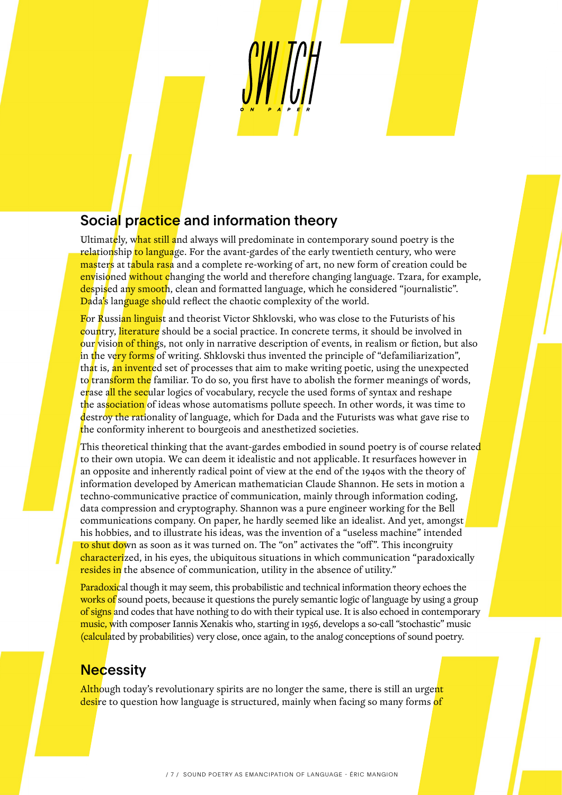# Social practice and information theory

Ultimately, what still and always will predominate in contemporary sound poetry is the relationship to language. For the avant-gardes of the early twentieth century, who were masters at tabula rasa and a complete re-working of art, no new form of creation could be envisioned without changing the world and therefore changing language. Tzara, for example, despised any smooth, clean and formatted language, which he considered "journalistic". Dada's language should reflect the chaotic complexity of the world.

For Russian linguist and theorist Victor Shklovski, who was close to the Futurists of his country, literature should be a social practice. In concrete terms, it should be involved in our vision of things, not only in narrative description of events, in realism or fiction, but also in the very forms of writing. Shklovski thus invented the principle of "defamiliarization", that is, an invented set of processes that aim to make writing poetic, using the unexpected to transform the familiar. To do so, you first have to abolish the former meanings of words, erase all the secular logics of vocabulary, recycle the used forms of syntax and reshape the association of ideas whose automatisms pollute speech. In other words, it was time to destroy the rationality of language, which for Dada and the Futurists was what gave rise to the conformity inherent to bourgeois and anesthetized societies.

This theoretical thinking that the avant-gardes embodied in sound poetry is of course related to their own utopia. We can deem it idealistic and not applicable. It resurfaces however in an opposite and inherently radical point of view at the end of the 1940s with the theory of information developed by American mathematician Claude Shannon. He sets in motion a techno-communicative practice of communication, mainly through information coding, data compression and cryptography. Shannon was a pure engineer working for the Bell communications company. On paper, he hardly seemed like an idealist. And yet, amongst his hobbies, and to illustrate his ideas, was the invention of a "useless machine" intended to shut down as soon as it was turned on. The "on" activates the "off". This incongruity characterized, in his eyes, the ubiquitous situations in which communication "paradoxically resides in the absence of communication, utility in the absence of utility."

Paradoxical though it may seem, this probabilistic and technical information theory echoes the works of sound poets, because it questions the purely semantic logic of language by using a group of signs and codes that have nothing to do with their typical use. It is also echoed in contemporary music, with composer Iannis Xenakis who, starting in 1956, develops a so-call "stochastic" music (calculated by probabilities) very close, once again, to the analog conceptions of sound poetry.

#### **Necessity**

Although today's revolutionary spirits are no longer the same, there is still an urgent desire to question how language is structured, mainly when facing so many forms of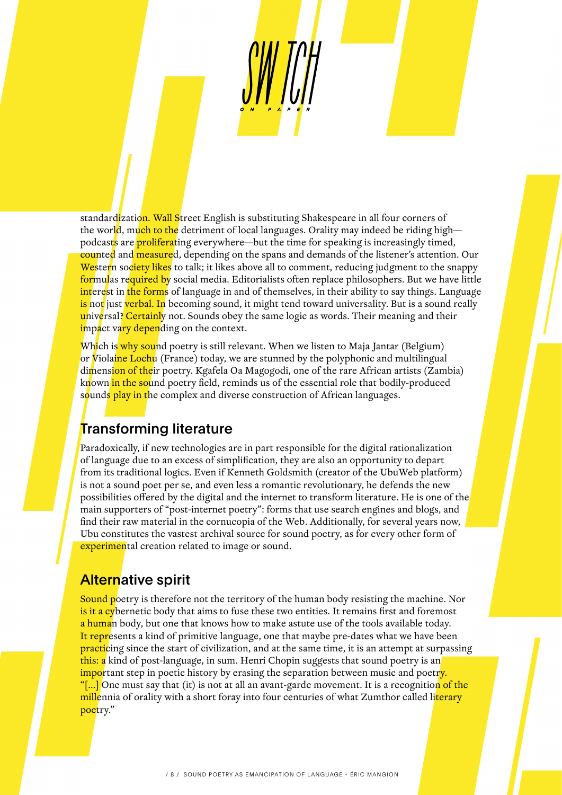standardization. Wall Street English is substituting Shakespeare in all four corners of the world, much to the detriment of local languages. Orality may indeed be riding high podcasts are **proliferating** everywhere—but the time for speaking is increasingly timed, counted and measured, depending on the spans and demands of the listener's attention. Our Western society likes to talk; it likes above all to comment, reducing judgment to the snappy formulas required by social media. Editorialists often replace philosophers. But we have little interest in the forms of language in and of themselves, in their ability to say things. Language is not just verbal. In becoming sound, it might tend toward universality. But is a sound really universal? Certainly not. Sounds obey the same logic as words. Their meaning and their impact vary depending on the context.

Which is why sound poetry is still relevant. When we listen to Maja Jantar (Belgium) or Violaine Lochu (France) today, we are stunned by the polyphonic and multilingual dimension of their poetry. Kgafela Oa Magogodi, one of the rare African artists (Zambia) known <mark>in the so</mark>und poetry field, reminds us of the essential role that bodily-produced sounds play in the complex and diverse construction of African languages.

## **Transforming literature**

Paradoxically, if new technologies are in part responsible for the digital rationalization of language due to an excess of simplification, they are also an opportunity to depart from its traditional logics. Even if Kenneth Goldsmith (creator of the UbuWeb platform) is not a sound poet per se, and even less a romantic revolutionary, he defends the new possibilities offered by the digital and the internet to transform literature. He is one of the main supporters of "post-internet poetry": forms that use search engines and blogs, and find their raw material in the cornucopia of the Web. Additionally, for several years now, Ubu constitutes the vastest archival source for sound poetry, as for every other form of experimental creation related to image or sound.

## Alternative spirit

Sound poetry is therefore not the territory of the human body resisting the machine. Nor is it a cybernetic body that aims to fuse these two entities. It remains first and foremost a human body, but one that knows how to make astute use of the tools available today. It represents a kind of primitive language, one that maybe pre-dates what we have been **practicing** since the start of civilization, and at the same time, it is an attempt at surpassing this: a kind of post-language, in sum. Henri Chopin suggests that sound poetry is an important step in poetic history by erasing the separation between music and poetr<mark>y.</mark> "[...] One must say that (it) is not at all an avant-garde movement. It is a recognition of the millennia of orality with a short foray into four centuries of what Zumthor called literary poetry."